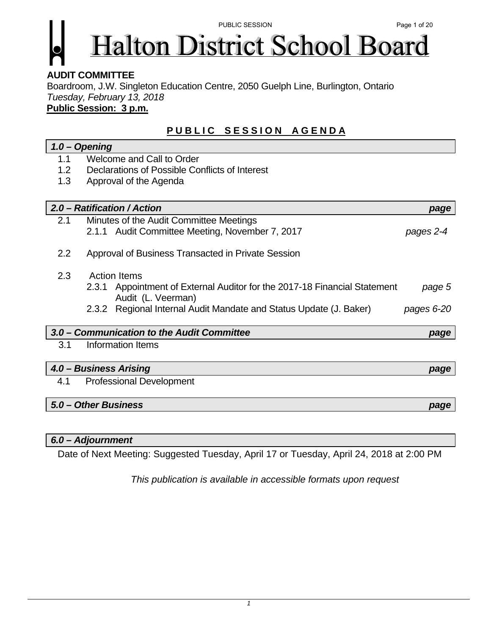## PUBLIC SESSION PUBLIC SESSION **Halton District School Board**

## **AUDIT COMMITTEE**

Boardroom, J.W. Singleton Education Centre, 2050 Guelph Line, Burlington, Ontario *Tuesday, February 13, 2018* 

**Public Session: 3 p.m.**

## **PUBLIC SESSION AGENDA**

## *1.0 – Opening*

- 1.1 Welcome and Call to Order
- 1.2 Declarations of Possible Conflicts of Interest
- 1.3 Approval of the Agenda

| 2.0 - Ratification / Action<br>page                |                                                    |                                                                     |            |
|----------------------------------------------------|----------------------------------------------------|---------------------------------------------------------------------|------------|
| 2.1                                                | Minutes of the Audit Committee Meetings            |                                                                     |            |
|                                                    |                                                    | 2.1.1 Audit Committee Meeting, November 7, 2017                     | pages 2-4  |
| 2.2                                                | Approval of Business Transacted in Private Session |                                                                     |            |
| 2.3                                                |                                                    | Action Items                                                        |            |
|                                                    | 2.3.1                                              | Appointment of External Auditor for the 2017-18 Financial Statement | page 5     |
|                                                    |                                                    | Audit (L. Veerman)                                                  |            |
|                                                    |                                                    | 2.3.2 Regional Internal Audit Mandate and Status Update (J. Baker)  | pages 6-20 |
| 3.0 - Communication to the Audit Committee<br>page |                                                    |                                                                     |            |
| 3.1                                                |                                                    | Information Items                                                   |            |
| 4.0 - Business Arising                             |                                                    |                                                                     | page       |
| 4.1                                                | <b>Professional Development</b>                    |                                                                     |            |
| 5.0 – Other Business                               |                                                    |                                                                     | page       |
|                                                    |                                                    |                                                                     |            |

## *6.0 – Adjournment*

Date of Next Meeting: Suggested Tuesday, April 17 or Tuesday, April 24, 2018 at 2:00 PM

*This publication is available in accessible formats upon request*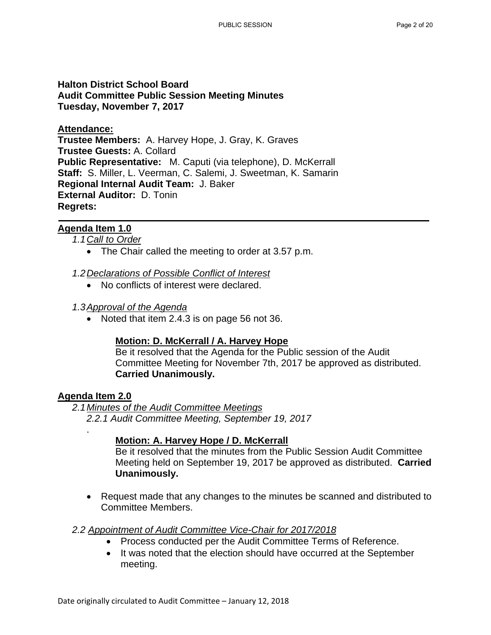## **Halton District School Board Audit Committee Public Session Meeting Minutes Tuesday, November 7, 2017**

## **Attendance:**

**Trustee Members:** A. Harvey Hope, J. Gray, K. Graves **Trustee Guests:** A. Collard **Public Representative:** M. Caputi (via telephone), D. McKerrall **Staff:** S. Miller, L. Veerman, C. Salemi, J. Sweetman, K. Samarin **Regional Internal Audit Team:** J. Baker **External Auditor:** D. Tonin **Regrets:**

## **Agenda Item 1.0**

## *1.1 Call to Order*

- The Chair called the meeting to order at 3.57 p.m.
- *1.2 Declarations of Possible Conflict of Interest* 
	- No conflicts of interest were declared.
- *1.3 Approval of the Agenda* 
	- $\bullet$  Noted that item 2.4.3 is on page 56 not 36.

## **Motion: D. McKerrall / A. Harvey Hope**

Be it resolved that the Agenda for the Public session of the Audit Committee Meeting for November 7th, 2017 be approved as distributed. **Carried Unanimously.** 

## **Agenda Item 2.0**

.

*2.1 Minutes of the Audit Committee Meetings 2.2.1 Audit Committee Meeting, September 19, 2017* 

## **Motion: A. Harvey Hope / D. McKerrall**

Be it resolved that the minutes from the Public Session Audit Committee Meeting held on September 19, 2017 be approved as distributed. **Carried Unanimously.** 

 Request made that any changes to the minutes be scanned and distributed to Committee Members.

## *2.2 Appointment of Audit Committee Vice-Chair for 2017/2018*

- Process conducted per the Audit Committee Terms of Reference.
- It was noted that the election should have occurred at the September meeting.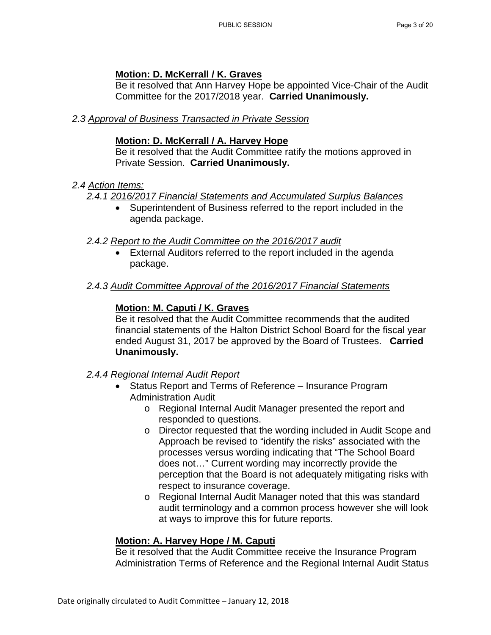## **Motion: D. McKerrall / K. Graves**

Be it resolved that Ann Harvey Hope be appointed Vice-Chair of the Audit Committee for the 2017/2018 year. **Carried Unanimously.** 

## *2.3 Approval of Business Transacted in Private Session*

#### **Motion: D. McKerrall / A. Harvey Hope**

Be it resolved that the Audit Committee ratify the motions approved in Private Session. **Carried Unanimously.** 

#### *2.4 Action Items:*

## *2.4.1 2016/2017 Financial Statements and Accumulated Surplus Balances*

 Superintendent of Business referred to the report included in the agenda package.

## *2.4.2 Report to the Audit Committee on the 2016/2017 audit*

 External Auditors referred to the report included in the agenda package.

## *2.4.3 Audit Committee Approval of the 2016/2017 Financial Statements*

## **Motion: M. Caputi / K. Graves**

Be it resolved that the Audit Committee recommends that the audited financial statements of the Halton District School Board for the fiscal year ended August 31, 2017 be approved by the Board of Trustees. **Carried Unanimously.** 

## *2.4.4 Regional Internal Audit Report*

- Status Report and Terms of Reference Insurance Program Administration Audit
	- o Regional Internal Audit Manager presented the report and responded to questions.
	- o Director requested that the wording included in Audit Scope and Approach be revised to "identify the risks" associated with the processes versus wording indicating that "The School Board does not…" Current wording may incorrectly provide the perception that the Board is not adequately mitigating risks with respect to insurance coverage.
	- o Regional Internal Audit Manager noted that this was standard audit terminology and a common process however she will look at ways to improve this for future reports.

## **Motion: A. Harvey Hope / M. Caputi**

Be it resolved that the Audit Committee receive the Insurance Program Administration Terms of Reference and the Regional Internal Audit Status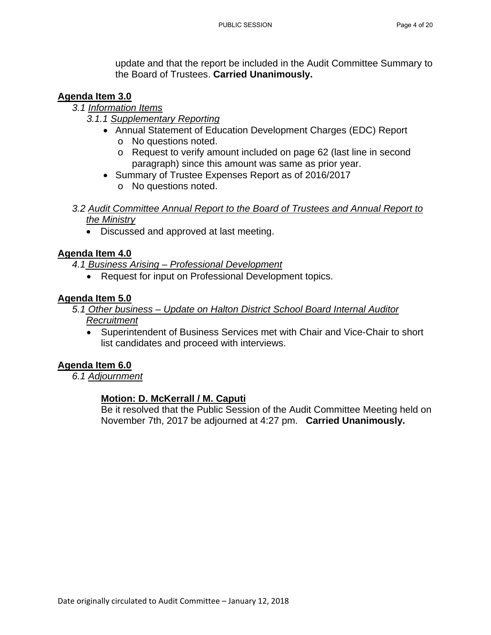update and that the report be included in the Audit Committee Summary to the Board of Trustees. **Carried Unanimously.** 

## **Agenda Item 3.0**

- *3.1 Information Items* 
	- *3.1.1 Supplementary Reporting* 
		- Annual Statement of Education Development Charges (EDC) Report o No questions noted.
			- o Request to verify amount included on page 62 (last line in second paragraph) since this amount was same as prior year.
		- Summary of Trustee Expenses Report as of 2016/2017
			- o No questions noted.
- *3.2 Audit Committee Annual Report to the Board of Trustees and Annual Report to the Ministry* 
	- Discussed and approved at last meeting.

## **Agenda Item 4.0**

*4.1 Business Arising – Professional Development* 

• Request for input on Professional Development topics.

## **Agenda Item 5.0**

- *5.1 Other business Update on Halton District School Board Internal Auditor Recruitment* 
	- Superintendent of Business Services met with Chair and Vice-Chair to short list candidates and proceed with interviews.

## **Agenda Item 6.0**

*6.1 Adjournment* 

## **Motion: D. McKerrall / M. Caputi**

Be it resolved that the Public Session of the Audit Committee Meeting held on November 7th, 2017 be adjourned at 4:27 pm. **Carried Unanimously.**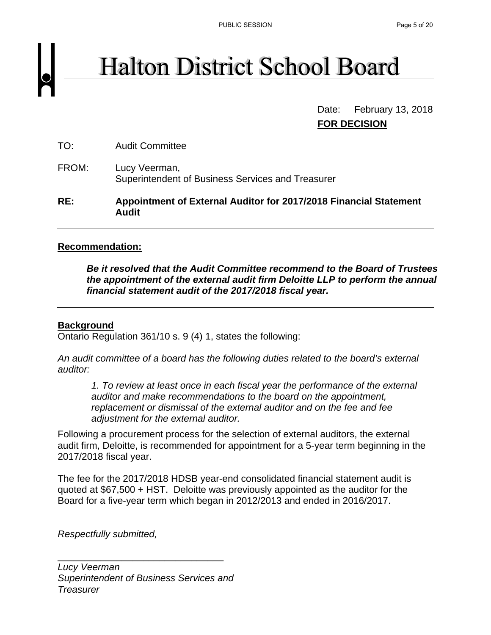# **Halton District School Board**

Date: February 13, 2018 **FOR DECISION**

| RE:   | Appointment of External Auditor for 2017/2018 Financial Statement<br><b>Audit</b> |
|-------|-----------------------------------------------------------------------------------|
| FROM: | Lucy Veerman,<br>Superintendent of Business Services and Treasurer                |
| TO:   | <b>Audit Committee</b>                                                            |

## **Recommendation:**

*Be it resolved that the Audit Committee recommend to the Board of Trustees the appointment of the external audit firm Deloitte LLP to perform the annual financial statement audit of the 2017/2018 fiscal year.* 

## **Background**

Ontario Regulation 361/10 s. 9 (4) 1, states the following:

*An audit committee of a board has the following duties related to the board's external auditor:* 

*1. To review at least once in each fiscal year the performance of the external auditor and make recommendations to the board on the appointment, replacement or dismissal of the external auditor and on the fee and fee adjustment for the external auditor.* 

Following a procurement process for the selection of external auditors, the external audit firm, Deloitte, is recommended for appointment for a 5-year term beginning in the 2017/2018 fiscal year.

The fee for the 2017/2018 HDSB year-end consolidated financial statement audit is quoted at \$67,500 + HST. Deloitte was previously appointed as the auditor for the Board for a five-year term which began in 2012/2013 and ended in 2016/2017.

*Respectfully submitted,* 

\_\_\_\_\_\_\_\_\_\_\_\_\_\_\_\_\_\_\_\_\_\_\_\_\_\_\_\_\_\_\_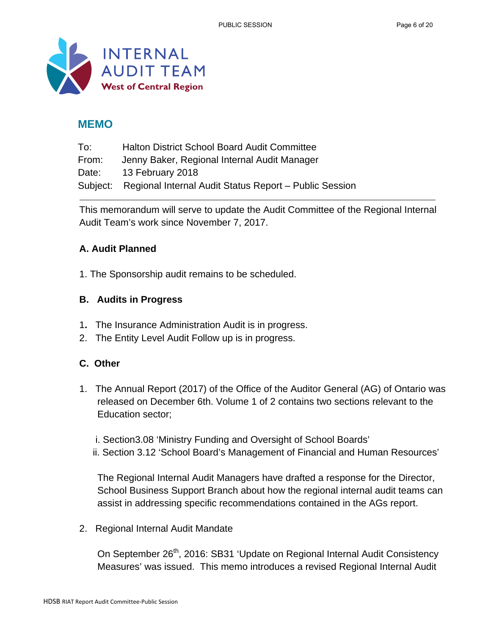

## **MEMO**

| To:   | <b>Halton District School Board Audit Committee</b>             |
|-------|-----------------------------------------------------------------|
| From: | Jenny Baker, Regional Internal Audit Manager                    |
| Date: | 13 February 2018                                                |
|       | Subject: Regional Internal Audit Status Report – Public Session |

This memorandum will serve to update the Audit Committee of the Regional Internal Audit Team's work since November 7, 2017.

## **A. Audit Planned**

1. The Sponsorship audit remains to be scheduled.

## **B. Audits in Progress**

- 1**.** The Insurance Administration Audit is in progress.
- 2. The Entity Level Audit Follow up is in progress.

## **C. Other**

- 1. The Annual Report (2017) of the Office of the Auditor General (AG) of Ontario was released on December 6th. Volume 1 of 2 contains two sections relevant to the Education sector;
	- i. Section3.08 'Ministry Funding and Oversight of School Boards'
	- ii. Section 3.12 'School Board's Management of Financial and Human Resources'

The Regional Internal Audit Managers have drafted a response for the Director, School Business Support Branch about how the regional internal audit teams can assist in addressing specific recommendations contained in the AGs report.

2. Regional Internal Audit Mandate

On September 26<sup>th</sup>, 2016: SB31 'Update on Regional Internal Audit Consistency Measures' was issued. This memo introduces a revised Regional Internal Audit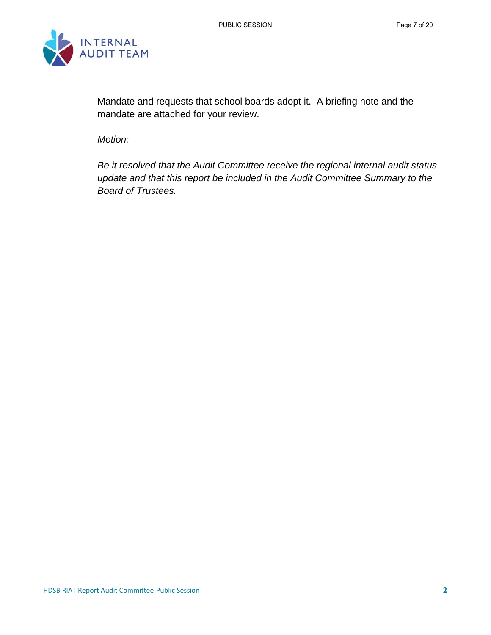

Mandate and requests that school boards adopt it. A briefing note and the mandate are attached for your review.

*Motion:*

*Be it resolved that the Audit Committee receive the regional internal audit status update and that this report be included in the Audit Committee Summary to the Board of Trustees.*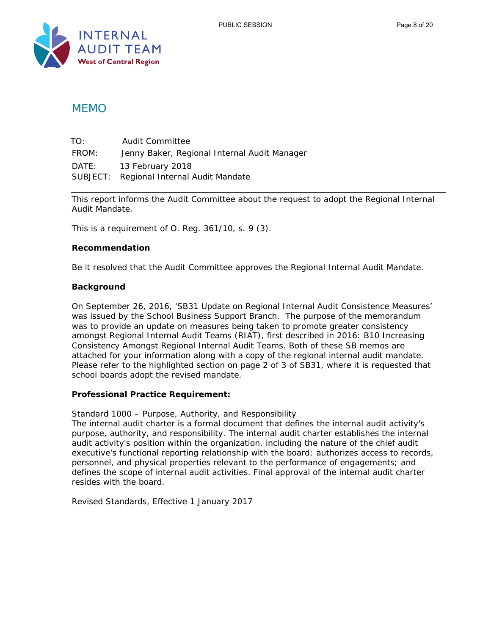

## MEMO

 TO: Audit Committee FROM: Jenny Baker, Regional Internal Audit Manager DATE: 13 February 2018 SUBJECT: Regional Internal Audit Mandate

This report informs the Audit Committee about the request to adopt the Regional Internal Audit Mandate.

This is a requirement of O. Reg. 361/10, s. 9 (3).

#### **Recommendation**

Be it resolved that the Audit Committee approves the Regional Internal Audit Mandate.

#### **Background**

On September 26, 2016, 'SB31 Update on Regional Internal Audit Consistence Measures' was issued by the School Business Support Branch. The purpose of the memorandum was to provide an update on measures being taken to promote greater consistency amongst Regional Internal Audit Teams (RIAT), first described in 2016: B10 Increasing Consistency Amongst Regional Internal Audit Teams. Both of these SB memos are attached for your information along with a copy of the regional internal audit mandate. Please refer to the highlighted section on page 2 of 3 of SB31, where it is requested that school boards adopt the revised mandate.

#### **Professional Practice Requirement:**

Standard 1000 – Purpose, Authority, and Responsibility

*The internal audit charter is a formal document that defines the internal audit activity's purpose, authority, and responsibility. The internal audit charter establishes the internal audit activity's position within the organization, including the nature of the chief audit executive's functional reporting relationship with the board; authorizes access to records, personnel, and physical properties relevant to the performance of engagements; and defines the scope of internal audit activities. Final approval of the internal audit charter resides with the board.* 

Revised *Standards*, Effective 1 January 2017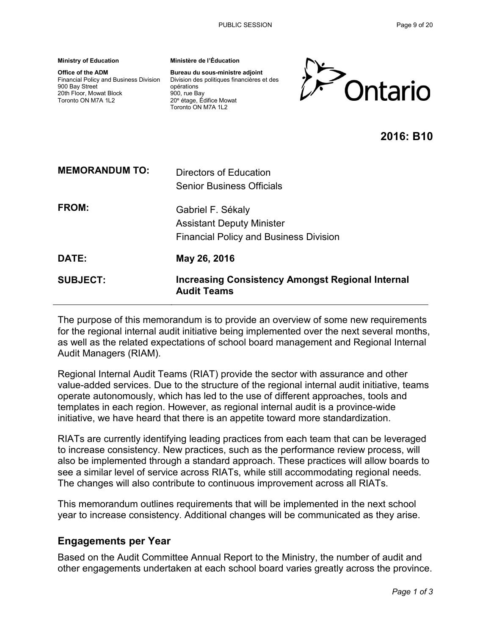**Ministry of Education** 

**Office of the ADM**  Financial Policy and Business Division 900 Bay Street 20th Floor, Mowat Block Toronto ON M7A 1L2

**Ministère de l'Éducation** 

**Bureau du sous-ministre adjoint**  Division des politiques financières et des opérations 900, rue Bay 20<sup>e</sup> étage, Édifice Mowat Toronto ON M7A 1L2



**2016: B10**

| <b>SUBJECT:</b>       | <b>Increasing Consistency Amongst Regional Internal</b><br><b>Audit Teams</b>                          |
|-----------------------|--------------------------------------------------------------------------------------------------------|
| DATE:                 | May 26, 2016                                                                                           |
| <b>FROM:</b>          | Gabriel F. Sékaly<br><b>Assistant Deputy Minister</b><br><b>Financial Policy and Business Division</b> |
| <b>MEMORANDUM TO:</b> | Directors of Education<br><b>Senior Business Officials</b>                                             |

The purpose of this memorandum is to provide an overview of some new requirements for the regional internal audit initiative being implemented over the next several months, as well as the related expectations of school board management and Regional Internal Audit Managers (RIAM).

Regional Internal Audit Teams (RIAT) provide the sector with assurance and other value-added services. Due to the structure of the regional internal audit initiative, teams operate autonomously, which has led to the use of different approaches, tools and templates in each region. However, as regional internal audit is a province-wide initiative, we have heard that there is an appetite toward more standardization.

RIATs are currently identifying leading practices from each team that can be leveraged to increase consistency. New practices, such as the performance review process, will also be implemented through a standard approach. These practices will allow boards to see a similar level of service across RIATs, while still accommodating regional needs. The changes will also contribute to continuous improvement across all RIATs.

This memorandum outlines requirements that will be implemented in the next school year to increase consistency. Additional changes will be communicated as they arise.

## **Engagements per Year**

Based on the Audit Committee Annual Report to the Ministry, the number of audit and other engagements undertaken at each school board varies greatly across the province.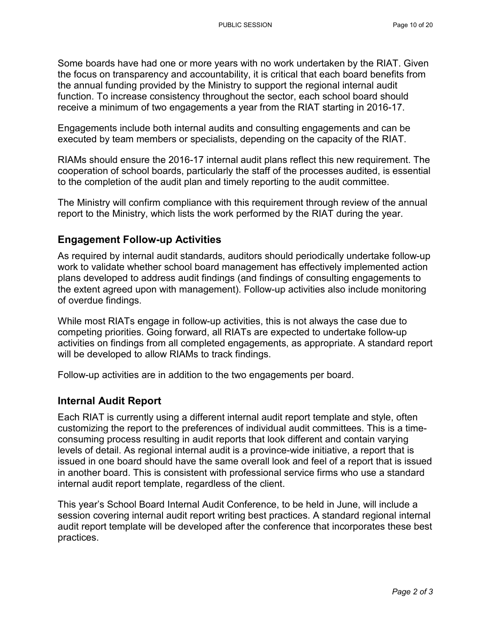Some boards have had one or more years with no work undertaken by the RIAT. Given the focus on transparency and accountability, it is critical that each board benefits from the annual funding provided by the Ministry to support the regional internal audit function. To increase consistency throughout the sector, each school board should receive a minimum of two engagements a year from the RIAT starting in 2016-17.

Engagements include both internal audits and consulting engagements and can be executed by team members or specialists, depending on the capacity of the RIAT.

RIAMs should ensure the 2016-17 internal audit plans reflect this new requirement. The cooperation of school boards, particularly the staff of the processes audited, is essential to the completion of the audit plan and timely reporting to the audit committee.

The Ministry will confirm compliance with this requirement through review of the annual report to the Ministry, which lists the work performed by the RIAT during the year.

## **Engagement Follow-up Activities**

As required by internal audit standards, auditors should periodically undertake follow-up work to validate whether school board management has effectively implemented action plans developed to address audit findings (and findings of consulting engagements to the extent agreed upon with management). Follow-up activities also include monitoring of overdue findings.

While most RIATs engage in follow-up activities, this is not always the case due to competing priorities. Going forward, all RIATs are expected to undertake follow-up activities on findings from all completed engagements, as appropriate. A standard report will be developed to allow RIAMs to track findings.

Follow-up activities are in addition to the two engagements per board.

## **Internal Audit Report**

Each RIAT is currently using a different internal audit report template and style, often customizing the report to the preferences of individual audit committees. This is a timeconsuming process resulting in audit reports that look different and contain varying levels of detail. As regional internal audit is a province-wide initiative, a report that is issued in one board should have the same overall look and feel of a report that is issued in another board. This is consistent with professional service firms who use a standard internal audit report template, regardless of the client.

This year's School Board Internal Audit Conference, to be held in June, will include a session covering internal audit report writing best practices. A standard regional internal audit report template will be developed after the conference that incorporates these best practices.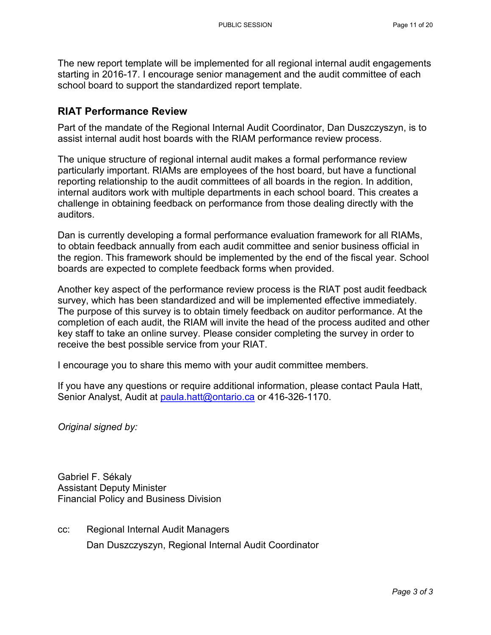The new report template will be implemented for all regional internal audit engagements starting in 2016-17. I encourage senior management and the audit committee of each school board to support the standardized report template.

#### **RIAT Performance Review**

Part of the mandate of the Regional Internal Audit Coordinator, Dan Duszczyszyn, is to assist internal audit host boards with the RIAM performance review process.

The unique structure of regional internal audit makes a formal performance review particularly important. RIAMs are employees of the host board, but have a functional reporting relationship to the audit committees of all boards in the region. In addition, internal auditors work with multiple departments in each school board. This creates a challenge in obtaining feedback on performance from those dealing directly with the auditors.

Dan is currently developing a formal performance evaluation framework for all RIAMs, to obtain feedback annually from each audit committee and senior business official in the region. This framework should be implemented by the end of the fiscal year. School boards are expected to complete feedback forms when provided.

Another key aspect of the performance review process is the RIAT post audit feedback survey, which has been standardized and will be implemented effective immediately. The purpose of this survey is to obtain timely feedback on auditor performance. At the completion of each audit, the RIAM will invite the head of the process audited and other key staff to take an online survey. Please consider completing the survey in order to receive the best possible service from your RIAT.

I encourage you to share this memo with your audit committee members.

If you have any questions or require additional information, please contact Paula Hatt, Senior Analyst, Audit at [paula.hatt@ontario.ca](mailto:paula.hatt@ontario.ca) or 416-326-1170.

*Original signed by:* 

Gabriel F. Sékaly Assistant Deputy Minister Financial Policy and Business Division

cc: Regional Internal Audit Managers Dan Duszczyszyn, Regional Internal Audit Coordinator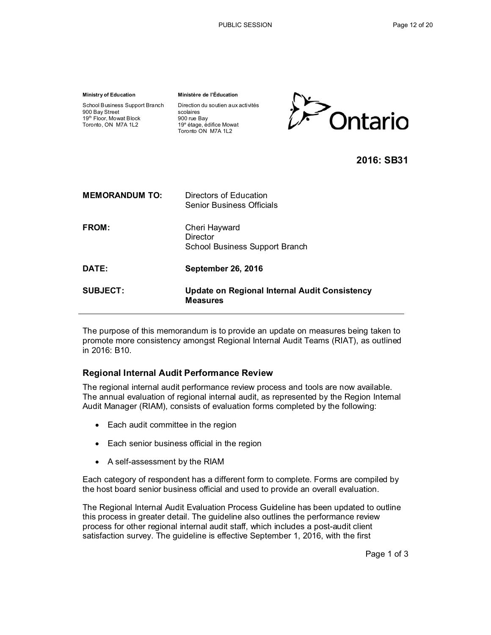School Business Support Branch 900 Bay Street 19th Floor, Mowat Block Toronto, ON M7A 1L2

Direction du soutien aux activités scolaires 900 rue Bay 19<sup>e</sup> étage, édifice Mowat Toronto ON M7A 1L2

**Ministère de l'Éducation** 



**2016: SB31** 

| <b>MEMORANDUM TO:</b> | Directors of Education<br><b>Senior Business Officials</b>       |
|-----------------------|------------------------------------------------------------------|
| <b>FROM:</b>          | Cheri Hayward<br>Director<br>School Business Support Branch      |
| DATE:                 | <b>September 26, 2016</b>                                        |
| SUBJECT:              | Update on Regional Internal Audit Consistency<br><b>Measures</b> |

The purpose of this memorandum is to provide an update on measures being taken to promote more consistency amongst Regional Internal Audit Teams (RIAT), as outlined in 2016: B10.

#### **Regional Internal Audit Performance Review**

The regional internal audit performance review process and tools are now available. The annual evaluation of regional internal audit, as represented by the Region Internal Audit Manager (RIAM), consists of evaluation forms completed by the following:

- Each audit committee in the region
- Each senior business official in the region
- A self-assessment by the RIAM

Each category of respondent has a different form to complete. Forms are compiled by the host board senior business official and used to provide an overall evaluation.

The Regional Internal Audit Evaluation Process Guideline has been updated to outline this process in greater detail. The guideline also outlines the performance review process for other regional internal audit staff, which includes a post-audit client satisfaction survey. The guideline is effective September 1, 2016, with the first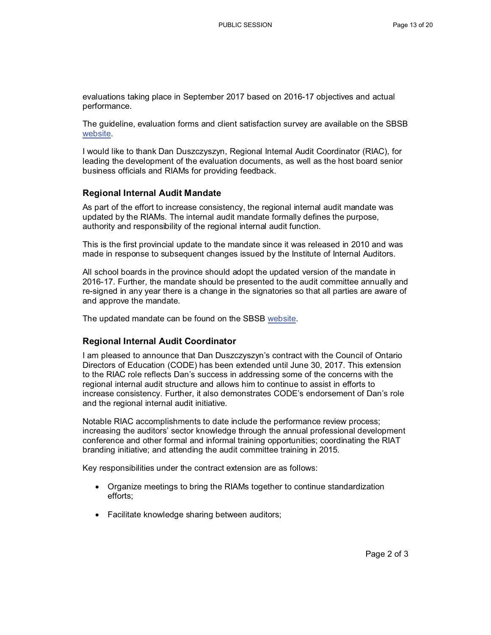evaluations taking place in September 2017 based on 2016-17 objectives and actual performance.

The guideline, evaluation forms and client satisfaction survey are available on the SBSB website.

I would like to thank Dan Duszczyszyn, Regional Internal Audit Coordinator (RIAC), for leading the development of the evaluation documents, as well as the host board senior business officials and RIAMs for providing feedback.

#### **Regional Internal Audit Mandate**

As part of the effort to increase consistency, the regional internal audit mandate was updated by the RIAMs. The internal audit mandate formally defines the purpose, authority and responsibility of the regional internal audit function.

This is the first provincial update to the mandate since it was released in 2010 and was made in response to subsequent changes issued by the Institute of Internal Auditors.

All school boards in the province should adopt the updated version of the mandate in 2016-17. Further, the mandate should be presented to the audit committee annually and re-signed in any year there is a change in the signatories so that all parties are aware of and approve the mandate.

The updated mandate can be found on the SBSB website.

#### **Regional Internal Audit Coordinator**

I am pleased to announce that Dan Duszczyszyn's contract with the Council of Ontario Directors of Education (CODE) has been extended until June 30, 2017. This extension to the RIAC role reflects Dan's success in addressing some of the concerns with the regional internal audit structure and allows him to continue to assist in efforts to increase consistency. Further, it also demonstrates CODE's endorsement of Dan's role and the regional internal audit initiative.

Notable RIAC accomplishments to date include the performance review process; increasing the auditors' sector knowledge through the annual professional development conference and other formal and informal training opportunities; coordinating the RIAT branding initiative; and attending the audit committee training in 2015.

Key responsibilities under the contract extension are as follows:

- Organize meetings to bring the RIAMs together to continue standardization efforts;
- Facilitate knowledge sharing between auditors;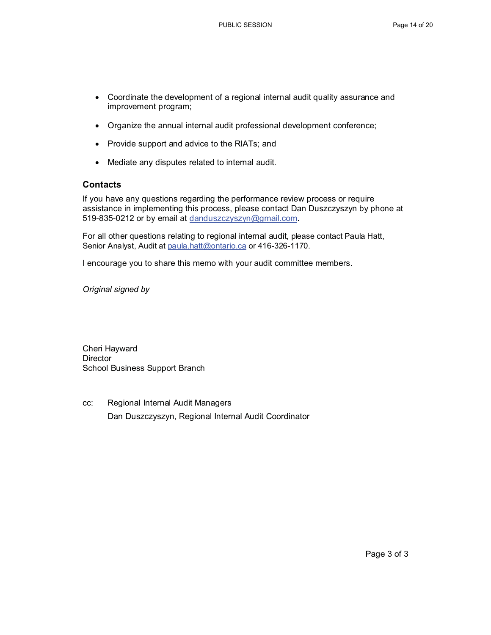- Coordinate the development of a regional internal audit quality assurance and improvement program;
- Organize the annual internal audit professional development conference;
- Provide support and advice to the RIATs; and
- Mediate any disputes related to internal audit.

#### **Contacts**

If you have any questions regarding the performance review process or require assistance in implementing this process, please contact Dan Duszczyszyn by phone at 519-835-0212 or by email at danduszczyszyn@gmail.com.

For all other questions relating to regional internal audit, please contact Paula Hatt, Senior Analyst, Audit at paula.hatt@ontario.ca or 416-326-1170.

I encourage you to share this memo with your audit committee members.

*Original signed by* 

Cheri Hayward **Director** School Business Support Branch

cc: Regional Internal Audit Managers Dan Duszczyszyn, Regional Internal Audit Coordinator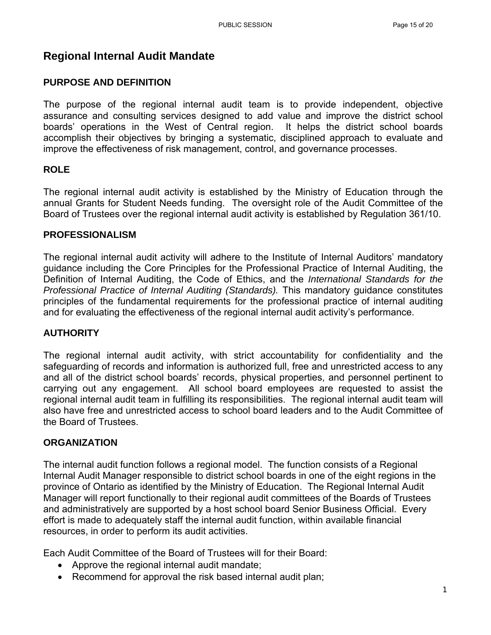## **Regional Internal Audit Mandate**

## **PURPOSE AND DEFINITION**

The purpose of the regional internal audit team is to provide independent, objective assurance and consulting services designed to add value and improve the district school boards' operations in the West of Central region. It helps the district school boards accomplish their objectives by bringing a systematic, disciplined approach to evaluate and improve the effectiveness of risk management, control, and governance processes.

## **ROLE**

The regional internal audit activity is established by the Ministry of Education through the annual Grants for Student Needs funding. The oversight role of the Audit Committee of the Board of Trustees over the regional internal audit activity is established by Regulation 361/10.

## **PROFESSIONALISM**

The regional internal audit activity will adhere to the Institute of Internal Auditors' mandatory guidance including the Core Principles for the Professional Practice of Internal Auditing, the Definition of Internal Auditing, the Code of Ethics, and the *International Standards for the Professional Practice of Internal Auditing (Standards).* This mandatory guidance constitutes principles of the fundamental requirements for the professional practice of internal auditing and for evaluating the effectiveness of the regional internal audit activity's performance.

## **AUTHORITY**

The regional internal audit activity, with strict accountability for confidentiality and the safeguarding of records and information is authorized full, free and unrestricted access to any and all of the district school boards' records, physical properties, and personnel pertinent to carrying out any engagement. All school board employees are requested to assist the regional internal audit team in fulfilling its responsibilities. The regional internal audit team will also have free and unrestricted access to school board leaders and to the Audit Committee of the Board of Trustees.

## **ORGANIZATION**

The internal audit function follows a regional model. The function consists of a Regional Internal Audit Manager responsible to district school boards in one of the eight regions in the province of Ontario as identified by the Ministry of Education. The Regional Internal Audit Manager will report functionally to their regional audit committees of the Boards of Trustees and administratively are supported by a host school board Senior Business Official. Every effort is made to adequately staff the internal audit function, within available financial resources, in order to perform its audit activities.

Each Audit Committee of the Board of Trustees will for their Board:

- Approve the regional internal audit mandate;
- Recommend for approval the risk based internal audit plan;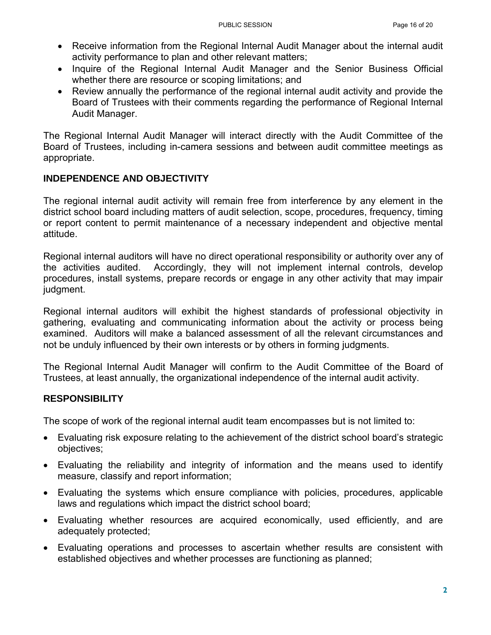- Receive information from the Regional Internal Audit Manager about the internal audit activity performance to plan and other relevant matters;
- Inquire of the Regional Internal Audit Manager and the Senior Business Official whether there are resource or scoping limitations; and
- Review annually the performance of the regional internal audit activity and provide the Board of Trustees with their comments regarding the performance of Regional Internal Audit Manager.

The Regional Internal Audit Manager will interact directly with the Audit Committee of the Board of Trustees, including in-camera sessions and between audit committee meetings as appropriate.

## **INDEPENDENCE AND OBJECTIVITY**

The regional internal audit activity will remain free from interference by any element in the district school board including matters of audit selection, scope, procedures, frequency, timing or report content to permit maintenance of a necessary independent and objective mental attitude.

Regional internal auditors will have no direct operational responsibility or authority over any of the activities audited. Accordingly, they will not implement internal controls, develop procedures, install systems, prepare records or engage in any other activity that may impair judgment.

Regional internal auditors will exhibit the highest standards of professional objectivity in gathering, evaluating and communicating information about the activity or process being examined. Auditors will make a balanced assessment of all the relevant circumstances and not be unduly influenced by their own interests or by others in forming judgments.

The Regional Internal Audit Manager will confirm to the Audit Committee of the Board of Trustees, at least annually, the organizational independence of the internal audit activity.

## **RESPONSIBILITY**

The scope of work of the regional internal audit team encompasses but is not limited to:

- Evaluating risk exposure relating to the achievement of the district school board's strategic objectives;
- Evaluating the reliability and integrity of information and the means used to identify measure, classify and report information;
- Evaluating the systems which ensure compliance with policies, procedures, applicable laws and regulations which impact the district school board;
- Evaluating whether resources are acquired economically, used efficiently, and are adequately protected;
- Evaluating operations and processes to ascertain whether results are consistent with established objectives and whether processes are functioning as planned;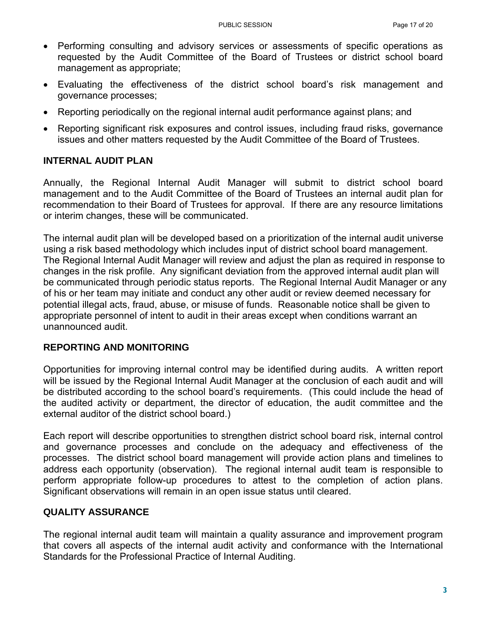- Performing consulting and advisory services or assessments of specific operations as requested by the Audit Committee of the Board of Trustees or district school board management as appropriate;
- Evaluating the effectiveness of the district school board's risk management and governance processes;
- Reporting periodically on the regional internal audit performance against plans; and
- Reporting significant risk exposures and control issues, including fraud risks, governance issues and other matters requested by the Audit Committee of the Board of Trustees.

## **INTERNAL AUDIT PLAN**

Annually, the Regional Internal Audit Manager will submit to district school board management and to the Audit Committee of the Board of Trustees an internal audit plan for recommendation to their Board of Trustees for approval. If there are any resource limitations or interim changes, these will be communicated.

The internal audit plan will be developed based on a prioritization of the internal audit universe using a risk based methodology which includes input of district school board management. The Regional Internal Audit Manager will review and adjust the plan as required in response to changes in the risk profile. Any significant deviation from the approved internal audit plan will be communicated through periodic status reports. The Regional Internal Audit Manager or any of his or her team may initiate and conduct any other audit or review deemed necessary for potential illegal acts, fraud, abuse, or misuse of funds. Reasonable notice shall be given to appropriate personnel of intent to audit in their areas except when conditions warrant an unannounced audit.

## **REPORTING AND MONITORING**

Opportunities for improving internal control may be identified during audits. A written report will be issued by the Regional Internal Audit Manager at the conclusion of each audit and will be distributed according to the school board's requirements. (This could include the head of the audited activity or department, the director of education, the audit committee and the external auditor of the district school board.)

Each report will describe opportunities to strengthen district school board risk, internal control and governance processes and conclude on the adequacy and effectiveness of the processes. The district school board management will provide action plans and timelines to address each opportunity (observation). The regional internal audit team is responsible to perform appropriate follow-up procedures to attest to the completion of action plans. Significant observations will remain in an open issue status until cleared.

## **QUALITY ASSURANCE**

The regional internal audit team will maintain a quality assurance and improvement program that covers all aspects of the internal audit activity and conformance with the International Standards for the Professional Practice of Internal Auditing.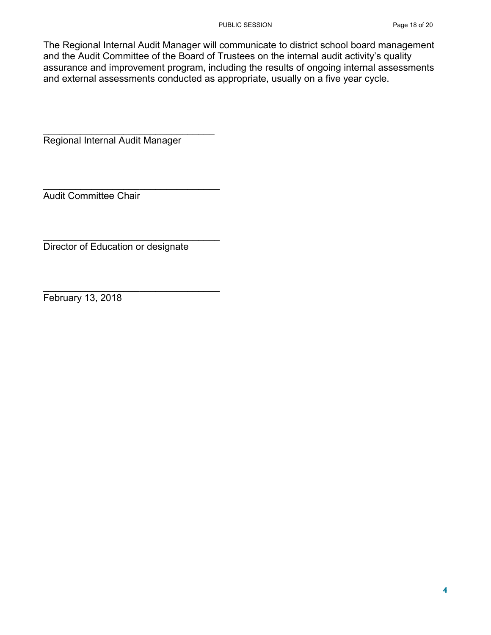The Regional Internal Audit Manager will communicate to district school board management and the Audit Committee of the Board of Trustees on the internal audit activity's quality assurance and improvement program, including the results of ongoing internal assessments and external assessments conducted as appropriate, usually on a five year cycle.

Regional Internal Audit Manager

 $\mathcal{L}_\text{max}$  , where  $\mathcal{L}_\text{max}$  is the set of  $\mathcal{L}_\text{max}$ 

 $\mathcal{L}_\text{max}$  , where  $\mathcal{L}_\text{max}$  is the set of  $\mathcal{L}_\text{max}$ 

 $\overline{\phantom{a}}$  , and the set of the set of the set of the set of the set of the set of the set of the set of the set of the set of the set of the set of the set of the set of the set of the set of the set of the set of the s

 $\mathcal{L}_\text{max}$  , where  $\mathcal{L}_\text{max}$  is the set of  $\mathcal{L}_\text{max}$ 

Audit Committee Chair

Director of Education or designate

February 13, 2018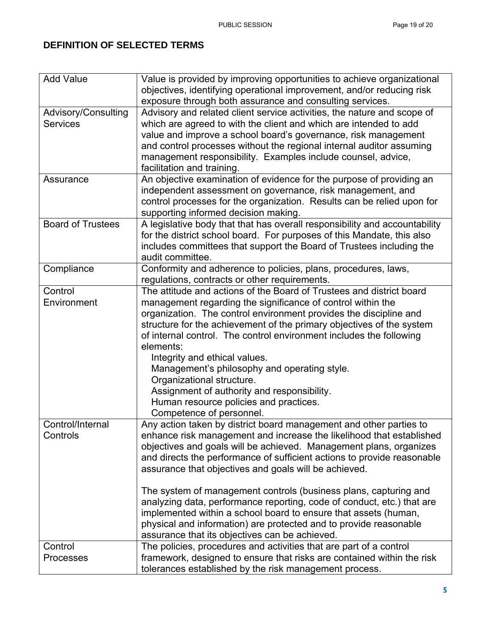## **DEFINITION OF SELECTED TERMS**

| <b>Add Value</b>         | Value is provided by improving opportunities to achieve organizational     |
|--------------------------|----------------------------------------------------------------------------|
|                          | objectives, identifying operational improvement, and/or reducing risk      |
|                          | exposure through both assurance and consulting services.                   |
| Advisory/Consulting      | Advisory and related client service activities, the nature and scope of    |
| <b>Services</b>          | which are agreed to with the client and which are intended to add          |
|                          | value and improve a school board's governance, risk management             |
|                          | and control processes without the regional internal auditor assuming       |
|                          | management responsibility. Examples include counsel, advice,               |
|                          | facilitation and training.                                                 |
| Assurance                | An objective examination of evidence for the purpose of providing an       |
|                          | independent assessment on governance, risk management, and                 |
|                          | control processes for the organization. Results can be relied upon for     |
|                          | supporting informed decision making.                                       |
| <b>Board of Trustees</b> | A legislative body that that has overall responsibility and accountability |
|                          | for the district school board. For purposes of this Mandate, this also     |
|                          | includes committees that support the Board of Trustees including the       |
|                          | audit committee.                                                           |
| Compliance               | Conformity and adherence to policies, plans, procedures, laws,             |
|                          | regulations, contracts or other requirements.                              |
| Control                  | The attitude and actions of the Board of Trustees and district board       |
| Environment              | management regarding the significance of control within the                |
|                          | organization. The control environment provides the discipline and          |
|                          | structure for the achievement of the primary objectives of the system      |
|                          | of internal control. The control environment includes the following        |
|                          | elements:                                                                  |
|                          | Integrity and ethical values.                                              |
|                          | Management's philosophy and operating style.                               |
|                          | Organizational structure.                                                  |
|                          | Assignment of authority and responsibility.                                |
|                          | Human resource policies and practices.                                     |
|                          | Competence of personnel.                                                   |
| Control/Internal         | Any action taken by district board management and other parties to         |
| Controls                 | enhance risk management and increase the likelihood that established       |
|                          | objectives and goals will be achieved. Management plans, organizes         |
|                          | and directs the performance of sufficient actions to provide reasonable    |
|                          | assurance that objectives and goals will be achieved.                      |
|                          |                                                                            |
|                          | The system of management controls (business plans, capturing and           |
|                          | analyzing data, performance reporting, code of conduct, etc.) that are     |
|                          | implemented within a school board to ensure that assets (human,            |
|                          | physical and information) are protected and to provide reasonable          |
|                          | assurance that its objectives can be achieved.                             |
| Control                  | The policies, procedures and activities that are part of a control         |
| Processes                | framework, designed to ensure that risks are contained within the risk     |
|                          | tolerances established by the risk management process.                     |